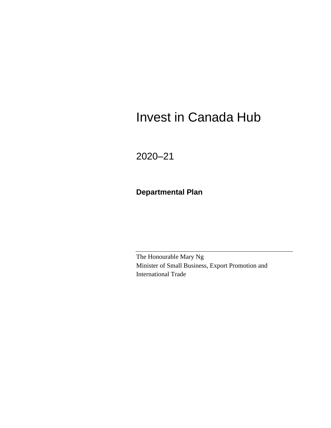# Invest in Canada Hub

2020–21

**Departmental Plan**

The Honourable Mary Ng Minister of Small Business, Export Promotion and International Trade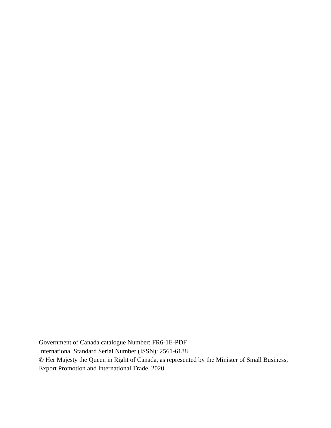Government of Canada catalogue Number: FR6-1E-PDF International Standard Serial Number (ISSN): 2561-6188 © Her Majesty the Queen in Right of Canada, as represented by the Minister of Small Business, Export Promotion and International Trade, 2020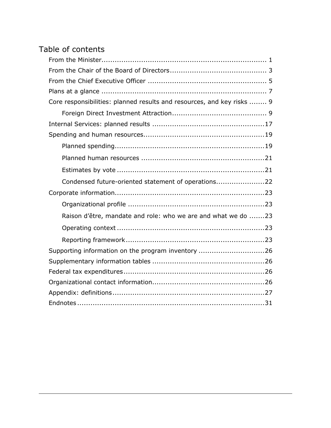### Table of contents

| Core responsibilities: planned results and resources, and key risks  9 |
|------------------------------------------------------------------------|
|                                                                        |
|                                                                        |
|                                                                        |
|                                                                        |
|                                                                        |
|                                                                        |
| Condensed future-oriented statement of operations22                    |
|                                                                        |
|                                                                        |
| Raison d'être, mandate and role: who we are and what we do 23          |
|                                                                        |
|                                                                        |
| Supporting information on the program inventory 26                     |
|                                                                        |
|                                                                        |
|                                                                        |
|                                                                        |
|                                                                        |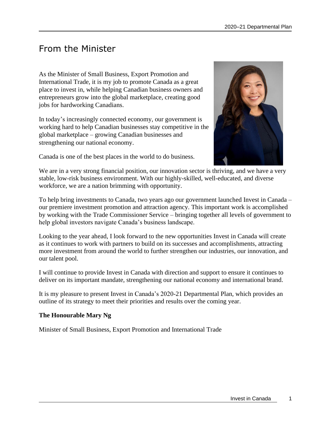### <span id="page-4-0"></span>From the Minister

As the Minister of Small Business, Export Promotion and International Trade, it is my job to promote Canada as a great place to invest in, while helping Canadian business owners and entrepreneurs grow into the global marketplace, creating good jobs for hardworking Canadians.

In today's increasingly connected economy, our government is working hard to help Canadian businesses stay competitive in the global marketplace – growing Canadian businesses and strengthening our national economy.

Canada is one of the best places in the world to do business.



We are in a very strong financial position, our innovation sector is thriving, and we have a very stable, low-risk business environment. With our highly-skilled, well-educated, and diverse workforce, we are a nation brimming with opportunity.

To help bring investments to Canada, two years ago our government launched Invest in Canada – our premiere investment promotion and attraction agency. This important work is accomplished by working with the Trade Commissioner Service – bringing together all levels of government to help global investors navigate Canada's business landscape.

Looking to the year ahead, I look forward to the new opportunities Invest in Canada will create as it continues to work with partners to build on its successes and accomplishments, attracting more investment from around the world to further strengthen our industries, our innovation, and our talent pool.

I will continue to provide Invest in Canada with direction and support to ensure it continues to deliver on its important mandate, strengthening our national economy and international brand.

It is my pleasure to present Invest in Canada's 2020-21 Departmental Plan, which provides an outline of its strategy to meet their priorities and results over the coming year.

### **The Honourable Mary Ng**

Minister of Small Business, Export Promotion and International Trade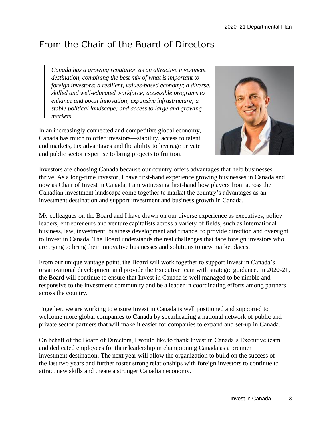## <span id="page-6-0"></span>From the Chair of the Board of Directors

*Canada has a growing reputation as an attractive investment destination, combining the best mix of what is important to foreign investors: a resilient, values-based economy; a diverse, skilled and well-educated workforce; accessible programs to enhance and boost innovation; expansive infrastructure; a stable political landscape; and access to large and growing markets.*

In an increasingly connected and competitive global economy, Canada has much to offer investors—stability, access to talent and markets, tax advantages and the ability to leverage private and public sector expertise to bring projects to fruition.



Investors are choosing Canada because our country offers advantages that help businesses thrive. As a long-time investor, I have first-hand experience growing businesses in Canada and now as Chair of Invest in Canada, I am witnessing first-hand how players from across the Canadian investment landscape come together to market the country's advantages as an investment destination and support investment and business growth in Canada.

My colleagues on the Board and I have drawn on our diverse experience as executives, policy leaders, entrepreneurs and venture capitalists across a variety of fields, such as international business, law, investment, business development and finance, to provide direction and oversight to Invest in Canada. The Board understands the real challenges that face foreign investors who are trying to bring their innovative businesses and solutions to new marketplaces.

From our unique vantage point, the Board will work together to support Invest in Canada's organizational development and provide the Executive team with strategic guidance. In 2020-21, the Board will continue to ensure that Invest in Canada is well managed to be nimble and responsive to the investment community and be a leader in coordinating efforts among partners across the country.

Together, we are working to ensure Invest in Canada is well positioned and supported to welcome more global companies to Canada by spearheading a national network of public and private sector partners that will make it easier for companies to expand and set-up in Canada.

On behalf of the Board of Directors, I would like to thank Invest in Canada's Executive team and dedicated employees for their leadership in championing Canada as a premier investment destination. The next year will allow the organization to build on the success of the last two years and further foster strong relationships with foreign investors to continue to attract new skills and create a stronger Canadian economy.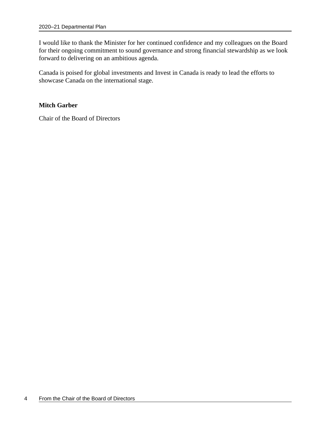I would like to thank the Minister for her continued confidence and my colleagues on the Board for their ongoing commitment to sound governance and strong financial stewardship as we look forward to delivering on an ambitious agenda.

Canada is poised for global investments and Invest in Canada is ready to lead the efforts to showcase Canada on the international stage.

### **Mitch Garber**

Chair of the Board of Directors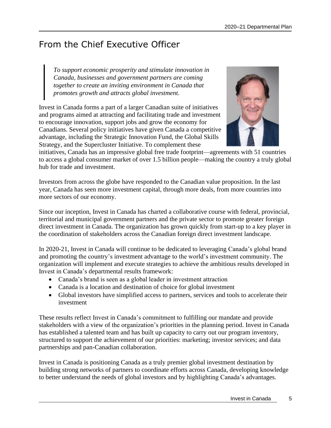## <span id="page-8-0"></span>From the Chief Executive Officer

*To support economic prosperity and stimulate innovation in Canada, businesses and government partners are coming together to create an inviting environment in Canada that promotes growth and attracts global investment.*

Invest in Canada forms a part of a larger Canadian suite of initiatives and programs aimed at attracting and facilitating trade and investment to encourage innovation, support jobs and grow the economy for Canadians. Several policy initiatives have given Canada a competitive advantage, including the Strategic Innovation Fund, the Global Skills Strategy, and the Supercluster Initiative. To complement these



initiatives, Canada has an impressive global free trade footprint—agreements with 51 countries to access a global consumer market of over 1.5 billion people—making the country a truly global hub for trade and investment.

Investors from across the globe have responded to the Canadian value proposition. In the last year, Canada has seen more investment capital, through more deals, from more countries into more sectors of our economy.

Since our inception, Invest in Canada has charted a collaborative course with federal, provincial, territorial and municipal government partners and the private sector to promote greater foreign direct investment in Canada. The organization has grown quickly from start-up to a key player in the coordination of stakeholders across the Canadian foreign direct investment landscape.

In 2020-21, Invest in Canada will continue to be dedicated to leveraging Canada's global brand and promoting the country's investment advantage to the world's investment community. The organization will implement and execute strategies to achieve the ambitious results developed in Invest in Canada's departmental results framework:

- Canada's brand is seen as a global leader in investment attraction
- Canada is a location and destination of choice for global investment
- Global investors have simplified access to partners, services and tools to accelerate their investment

These results reflect Invest in Canada's commitment to fulfilling our mandate and provide stakeholders with a view of the organization's priorities in the planning period. Invest in Canada has established a talented team and has built up capacity to carry out our program inventory, structured to support the achievement of our priorities: marketing; investor services; and data partnerships and pan-Canadian collaboration.

Invest in Canada is positioning Canada as a truly premier global investment destination by building strong networks of partners to coordinate efforts across Canada, developing knowledge to better understand the needs of global investors and by highlighting Canada's advantages.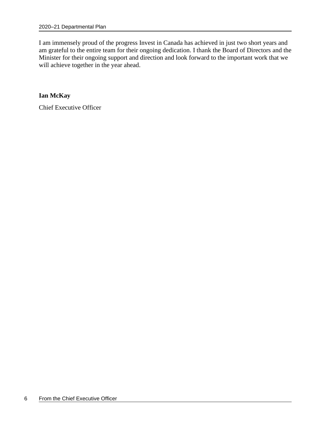I am immensely proud of the progress Invest in Canada has achieved in just two short years and am grateful to the entire team for their ongoing dedication. I thank the Board of Directors and the Minister for their ongoing support and direction and look forward to the important work that we will achieve together in the year ahead.

**Ian McKay**

Chief Executive Officer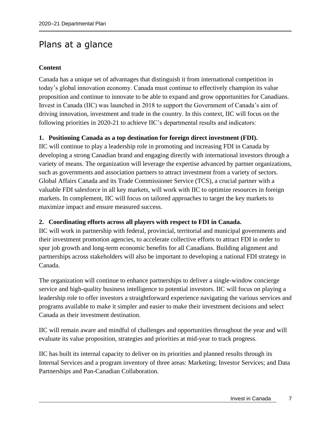### <span id="page-10-0"></span>Plans at a glance

### **Content**

Canada has a unique set of advantages that distinguish it from international competition in today's global innovation economy. Canada must continue to effectively champion its value proposition and continue to innovate to be able to expand and grow opportunities for Canadians. Invest in Canada (IIC) was launched in 2018 to support the Government of Canada's aim of driving innovation, investment and trade in the country. In this context, IIC will focus on the following priorities in 2020-21 to achieve IIC's departmental results and indicators:

### **1. Positioning Canada as a top destination for foreign direct investment (FDI).**

IIC will continue to play a leadership role in promoting and increasing FDI in Canada by developing a strong Canadian brand and engaging directly with international investors through a variety of means. The organization will leverage the expertise advanced by partner organizations, such as governments and association partners to attract investment from a variety of sectors. Global Affairs Canada and its Trade Commissioner Service (TCS), a crucial partner with a valuable FDI salesforce in all key markets, will work with IIC to optimize resources in foreign markets. In complement, IIC will focus on tailored approaches to target the key markets to maximize impact and ensure measured success.

### **2. Coordinating efforts across all players with respect to FDI in Canada.**

IIC will work in partnership with federal, provincial, territorial and municipal governments and their investment promotion agencies, to accelerate collective efforts to attract FDI in order to spur job growth and long-term economic benefits for all Canadians. Building alignment and partnerships across stakeholders will also be important to developing a national FDI strategy in Canada.

The organization will continue to enhance partnerships to deliver a single-window concierge service and high-quality business intelligence to potential investors. IIC will focus on playing a leadership role to offer investors a straightforward experience navigating the various services and programs available to make it simpler and easier to make their investment decisions and select Canada as their investment destination.

IIC will remain aware and mindful of challenges and opportunities throughout the year and will evaluate its value proposition, strategies and priorities at mid-year to track progress.

IIC has built its internal capacity to deliver on its priorities and planned results through its Internal Services and a program inventory of three areas: Marketing; Investor Services; and Data Partnerships and Pan-Canadian Collaboration.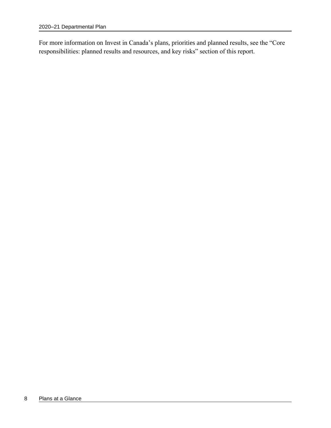For more information on Invest in Canada's plans, priorities and planned results, see the "Core responsibilities: planned results and resources, and key risks" section of this report.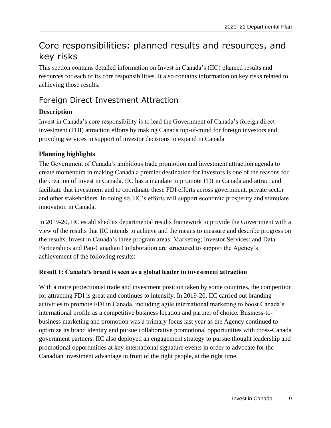## <span id="page-12-0"></span>Core responsibilities: planned results and resources, and key risks

This section contains detailed information on Invest in Canada's (IIC) planned results and resources for each of its core responsibilities. It also contains information on key risks related to achieving those results.

### <span id="page-12-1"></span>Foreign Direct Investment Attraction

### **Description**

Invest in Canada's core responsibility is to lead the Government of Canada's foreign direct investment (FDI) attraction efforts by making Canada top-of-mind for foreign investors and providing services in support of investor decisions to expand in Canada

### **Planning highlights**

The Government of Canada's ambitious trade promotion and investment attraction agenda to create momentum in making Canada a premier destination for investors is one of the reasons for the creation of Invest in Canada. IIC has a mandate to promote FDI in Canada and attract and facilitate that investment and to coordinate these FDI efforts across government, private sector and other stakeholders. In doing so, IIC's efforts will support economic prosperity and stimulate innovation in Canada.

In 2019-20, IIC established its departmental results framework to provide the Government with a view of the results that IIC intends to achieve and the means to measure and describe progress on the results. Invest in Canada's three program areas: Marketing; Investor Services; and Data Partnerships and Pan-Canadian Collaboration are structured to support the Agency's achievement of the following results:

### **Result 1: Canada's brand is seen as a global leader in investment attraction**

With a more protectionist trade and investment position taken by some countries, the competition for attracting FDI is great and continues to intensify. In 2019-20, IIC carried out branding activities to promote FDI in Canada, including agile international marketing to boost Canada's international profile as a competitive business location and partner of choice. Business-tobusiness marketing and promotion was a primary focus last year as the Agency continued to optimize its brand identity and pursue collaborative promotional opportunities with cross-Canada government partners. IIC also deployed an engagement strategy to pursue thought leadership and promotional opportunities at key international signature events in order to advocate for the Canadian investment advantage in front of the right people, at the right time.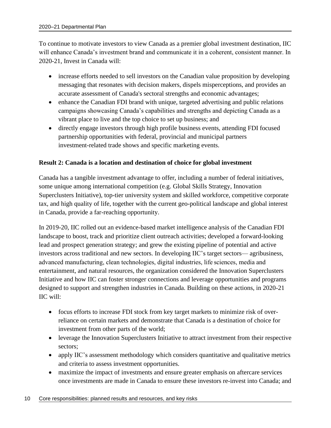To continue to motivate investors to view Canada as a premier global investment destination, IIC will enhance Canada's investment brand and communicate it in a coherent, consistent manner. In 2020-21, Invest in Canada will:

- increase efforts needed to sell investors on the Canadian value proposition by developing messaging that resonates with decision makers, dispels misperceptions, and provides an accurate assessment of Canada's sectoral strengths and economic advantages;
- enhance the Canadian FDI brand with unique, targeted advertising and public relations campaigns showcasing Canada's capabilities and strengths and depicting Canada as a vibrant place to live and the top choice to set up business; and
- directly engage investors through high profile business events, attending FDI focused partnership opportunities with federal, provincial and municipal partners investment-related trade shows and specific marketing events.

### **Result 2: Canada is a location and destination of choice for global investment**

Canada has a tangible investment advantage to offer, including a number of federal initiatives, some unique among international competition (e.g. Global Skills Strategy, Innovation Superclusters Initiative), top-tier university system and skilled workforce, competitive corporate tax, and high quality of life, together with the current geo-political landscape and global interest in Canada, provide a far-reaching opportunity.

In 2019-20, IIC rolled out an evidence-based market intelligence analysis of the Canadian FDI landscape to boost, track and prioritize client outreach activities; developed a forward-looking lead and prospect generation strategy; and grew the existing pipeline of potential and active investors across traditional and new sectors. In developing IIC's target sectors— agribusiness, advanced manufacturing, clean technologies, digital industries, life sciences, media and entertainment, and natural resources, the organization considered the Innovation Superclusters Initiative and how IIC can foster stronger connections and leverage opportunities and programs designed to support and strengthen industries in Canada. Building on these actions, in 2020-21 IIC will:

- focus efforts to increase FDI stock from key target markets to minimize risk of overreliance on certain markets and demonstrate that Canada is a destination of choice for investment from other parts of the world;
- leverage the Innovation Superclusters Initiative to attract investment from their respective sectors;
- apply IIC's assessment methodology which considers quantitative and qualitative metrics and criteria to assess investment opportunities.
- maximize the impact of investments and ensure greater emphasis on aftercare services once investments are made in Canada to ensure these investors re-invest into Canada; and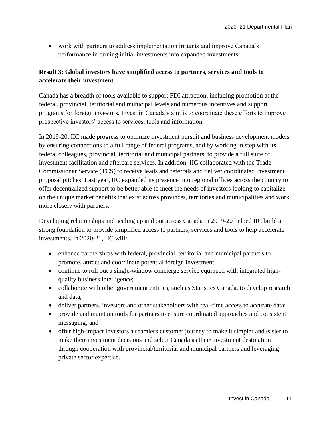• work with partners to address implementation irritants and improve Canada's performance in turning initial investments into expanded investments.

### **Result 3: Global investors have simplified access to partners, services and tools to accelerate their investment**

Canada has a breadth of tools available to support FDI attraction, including promotion at the federal, provincial, territorial and municipal levels and numerous incentives and support programs for foreign investors. Invest in Canada's aim is to coordinate these efforts to improve prospective investors' access to services, tools and information.

In 2019-20, IIC made progress to optimize investment pursuit and business development models by ensuring connections to a full range of federal programs, and by working in step with its federal colleagues, provincial, territorial and municipal partners, to provide a full suite of investment facilitation and aftercare services. In addition, IIC collaborated with the Trade Commissioner Service (TCS) to receive leads and referrals and deliver coordinated investment proposal pitches. Last year, IIC expanded its presence into regional offices across the country to offer decentralized support to be better able to meet the needs of investors looking to capitalize on the unique market benefits that exist across provinces, territories and municipalities and work more closely with partners.

Developing relationships and scaling up and out across Canada in 2019-20 helped IIC build a strong foundation to provide simplified access to partners, services and tools to help accelerate investments. In 2020-21, IIC will:

- enhance partnerships with federal, provincial, territorial and municipal partners to promote, attract and coordinate potential foreign investment;
- continue to roll out a single-window concierge service equipped with integrated highquality business intelligence;
- collaborate with other government entities, such as Statistics Canada, to develop research and data;
- deliver partners, investors and other stakeholders with real-time access to accurate data;
- provide and maintain tools for partners to ensure coordinated approaches and consistent messaging; and
- offer high-impact investors a seamless customer journey to make it simpler and easier to make their investment decisions and select Canada as their investment destination through cooperation with provincial/territorial and municipal partners and leveraging private sector expertise.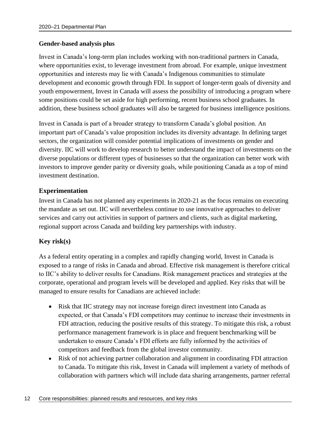### **Gender-based analysis plus**

Invest in Canada's long-term plan includes working with non-traditional partners in Canada, where opportunities exist, to leverage investment from abroad. For example, unique investment opportunities and interests may lie with Canada's Indigenous communities to stimulate development and economic growth through FDI. In support of longer-term goals of diversity and youth empowerment, Invest in Canada will assess the possibility of introducing a program where some positions could be set aside for high performing, recent business school graduates. In addition, these business school graduates will also be targeted for business intelligence positions.

Invest in Canada is part of a broader strategy to transform Canada's global position. An important part of Canada's value proposition includes its diversity advantage. In defining target sectors, the organization will consider potential implications of investments on gender and diversity. IIC will work to develop research to better understand the impact of investments on the diverse populations or different types of businesses so that the organization can better work with investors to improve gender parity or diversity goals, while positioning Canada as a top of mind investment destination.

### **Experimentation**

Invest in Canada has not planned any experiments in 2020-21 as the focus remains on executing the mandate as set out. IIC will nevertheless continue to use innovative approaches to deliver services and carry out activities in support of partners and clients, such as digital marketing, regional support across Canada and building key partnerships with industry.

### **Key risk(s)**

As a federal entity operating in a complex and rapidly changing world, Invest in Canada is exposed to a range of risks in Canada and abroad. Effective risk management is therefore critical to IIC's ability to deliver results for Canadians. Risk management practices and strategies at the corporate, operational and program levels will be developed and applied. Key risks that will be managed to ensure results for Canadians are achieved include:

- Risk that IIC strategy may not increase foreign direct investment into Canada as expected, or that Canada's FDI competitors may continue to increase their investments in FDI attraction, reducing the positive results of this strategy. To mitigate this risk, a robust performance management framework is in place and frequent benchmarking will be undertaken to ensure Canada's FDI efforts are fully informed by the activities of competitors and feedback from the global investor community.
- Risk of not achieving partner collaboration and alignment in coordinating FDI attraction to Canada. To mitigate this risk, Invest in Canada will implement a variety of methods of collaboration with partners which will include data sharing arrangements, partner referral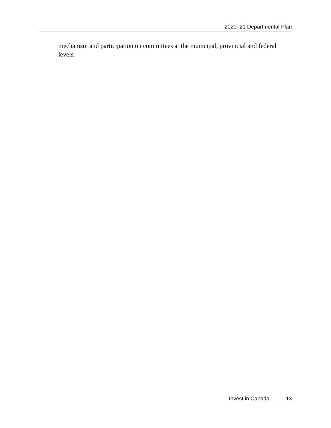mechanism and participation on committees at the municipal, provincial and federal levels.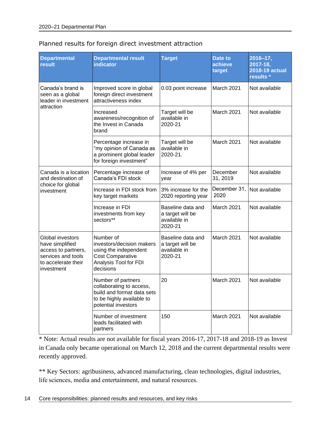| <b>Departmental</b><br>result                                                                                         | <b>Departmental result</b><br><b>indicator</b>                                                                                   | <b>Target</b>                                                    | Date to<br>achieve<br>target | $2016 - 17,$<br>2017-18,<br>2018-19 actual<br>results * |
|-----------------------------------------------------------------------------------------------------------------------|----------------------------------------------------------------------------------------------------------------------------------|------------------------------------------------------------------|------------------------------|---------------------------------------------------------|
| Canada's brand is<br>seen as a global<br>leader in investment                                                         | Improved score in global<br>0.03 point increase<br>foreign direct investment<br>attractiveness index                             |                                                                  | March 2021                   | Not available                                           |
| attraction                                                                                                            | Increased<br>awareness/recognition of<br>the Invest in Canada<br>brand                                                           | Target will be<br>available in<br>2020-21                        | March 2021                   | Not available                                           |
|                                                                                                                       | Percentage increase in<br>"my opinion of Canada as<br>a prominent global leader<br>for foreign investment"                       | Target will be<br>available in<br>2020-21.                       | <b>March 2021</b>            | Not available                                           |
| Canada is a location<br>and destination of                                                                            | Percentage increase of<br>Canada's FDI stock                                                                                     | Increase of 4% per<br>year                                       | December<br>31, 2019         | Not available                                           |
| choice for global<br>investment                                                                                       | Increase in FDI stock from<br>key target markets                                                                                 | 3% increase for the<br>2020 reporting year                       | December 31,<br>2020         | Not available                                           |
|                                                                                                                       | Increase in FDI<br>investments from key<br>sectors**                                                                             | Baseline data and<br>a target will be<br>available in<br>2020-21 | March 2021                   | Not available                                           |
| Global investors<br>have simplified<br>access to partners,<br>services and tools<br>to accelerate their<br>investment | Number of<br>investors/decision makers<br>using the independent<br><b>Cost Comparative</b><br>Analysis Tool for FDI<br>decisions | Baseline data and<br>a target will be<br>available in<br>2020-21 | March 2021                   | Not available                                           |
|                                                                                                                       | Number of partners<br>collaborating to access,<br>build and format data sets<br>to be highly available to<br>potential investors | 20                                                               | March 2021                   | Not available                                           |
|                                                                                                                       | Number of investment<br>leads facilitated with<br>partners                                                                       | 150                                                              | March 2021                   | Not available                                           |

### Planned results for foreign direct investment attraction

\* Note: Actual results are not available for fiscal years 2016-17, 2017-18 and 2018-19 as Invest in Canada only became operational on March 12, 2018 and the current departmental results were recently approved.

\*\* Key Sectors: agribusiness, advanced manufacturing, clean technologies, digital industries, life sciences, media and entertainment, and natural resources.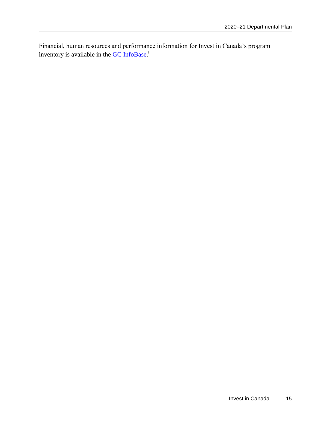Financial, human resources and performance information for Invest in Canada's program inventory is available in the GC [InfoBase.](https://www.tbs-sct.gc.ca/ems-sgd/edb-bdd/index-eng.html)<sup>i</sup>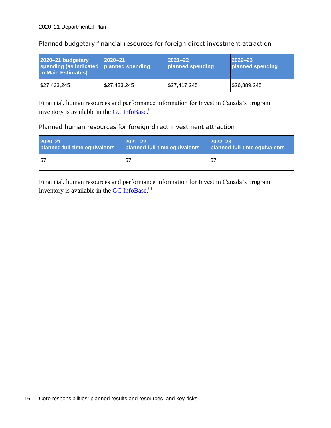| 2020-21 budgetary<br>spending (as indicated planned spending<br>in Main Estimates) | $2020 - 21$  | $2021 - 22$<br>planned spending | $2022 - 23$<br>planned spending |
|------------------------------------------------------------------------------------|--------------|---------------------------------|---------------------------------|
| $\frac{1}{2}$ 27,433,245                                                           | \$27,433,245 | \$27,417,245                    | \$26,889,245                    |

Planned budgetary financial resources for foreign direct investment attraction

Financial, human resources and performance information for Invest in Canada's program inventory is available in the GC [InfoBase.](https://www.tbs-sct.gc.ca/ems-sgd/edb-bdd/index-eng.html)<sup>ii</sup>

Planned human resources for foreign direct investment attraction

| $2020 - 21$                   | $ 2021 - 22 $                 | $2022 - 23$                   |
|-------------------------------|-------------------------------|-------------------------------|
| planned full-time equivalents | planned full-time equivalents | planned full-time equivalents |
| <b>57</b>                     | -57                           | 5 <sub>1</sub>                |

Financial, human resources and performance information for Invest in Canada's program inventory is available in the GC [InfoBase.](https://www.tbs-sct.gc.ca/ems-sgd/edb-bdd/index-eng.html)<sup>iii</sup>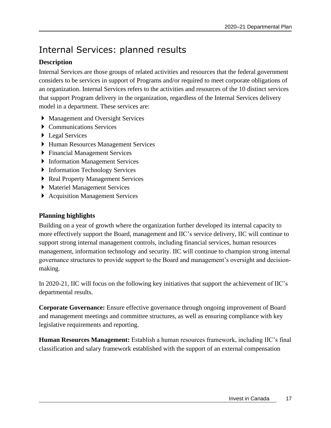## <span id="page-20-0"></span>Internal Services: planned results

### **Description**

Internal Services are those groups of related activities and resources that the federal government considers to be services in support of Programs and/or required to meet corporate obligations of an organization. Internal Services refers to the activities and resources of the 10 distinct services that support Program delivery in the organization, regardless of the Internal Services delivery model in a department. These services are:

- Management and Oversight Services
- ▶ Communications Services
- ▶ Legal Services
- Human Resources Management Services
- ▶ Financial Management Services
- **Information Management Services**
- **Information Technology Services**
- ▶ Real Property Management Services
- Materiel Management Services
- Acquisition Management Services

### **Planning highlights**

Building on a year of growth where the organization further developed its internal capacity to more effectively support the Board, management and IIC's service delivery, IIC will continue to support strong internal management controls, including financial services, human resources management, information technology and security. IIC will continue to champion strong internal governance structures to provide support to the Board and management's oversight and decisionmaking.

In 2020-21, IIC will focus on the following key initiatives that support the achievement of IIC's departmental results.

**Corporate Governance:** Ensure effective governance through ongoing improvement of Board and management meetings and committee structures, as well as ensuring compliance with key legislative requirements and reporting.

**Human Resources Management:** Establish a human resources framework, including IIC's final classification and salary framework established with the support of an external compensation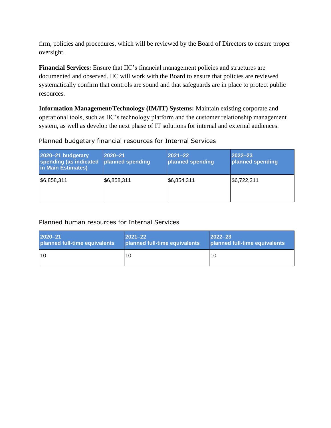firm, policies and procedures, which will be reviewed by the Board of Directors to ensure proper oversight.

**Financial Services:** Ensure that IIC's financial management policies and structures are documented and observed. IIC will work with the Board to ensure that policies are reviewed systematically confirm that controls are sound and that safeguards are in place to protect public resources.

**Information Management/Technology (IM/IT) Systems:** Maintain existing corporate and operational tools, such as IIC's technology platform and the customer relationship management system, as well as develop the next phase of IT solutions for internal and external audiences.

### Planned budgetary financial resources for Internal Services

| 2020-21 budgetary<br>spending (as indicated<br>in Main Estimates) | 2020-21<br>planned spending | $ 2021 - 22 $<br>planned spending | $2022 - 23$<br>planned spending |
|-------------------------------------------------------------------|-----------------------------|-----------------------------------|---------------------------------|
| \$6,858,311                                                       | \$6,858,311                 | \$6,854,311                       | \$6,722,311                     |

### Planned human resources for Internal Services

| 2020-21                       | $ 2021 - 22 $                 | $ 2022 - 23 $                 |
|-------------------------------|-------------------------------|-------------------------------|
| planned full-time equivalents | planned full-time equivalents | planned full-time equivalents |
| l 10                          | 10                            | 10                            |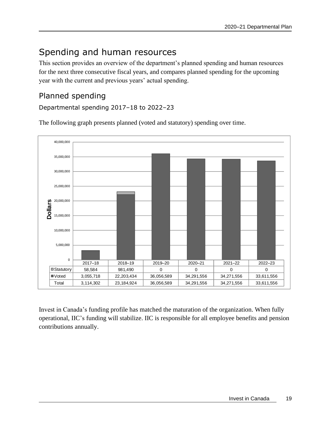## <span id="page-22-0"></span>Spending and human resources

This section provides an overview of the department's planned spending and human resources for the next three consecutive fiscal years, and compares planned spending for the upcoming year with the current and previous years' actual spending.

### <span id="page-22-1"></span>Planned spending

Departmental spending 2017–18 to 2022–23

The following graph presents planned (voted and statutory) spending over time.



Invest in Canada's funding profile has matched the maturation of the organization. When fully operational, IIC's funding will stabilize. IIC is responsible for all employee benefits and pension contributions annually.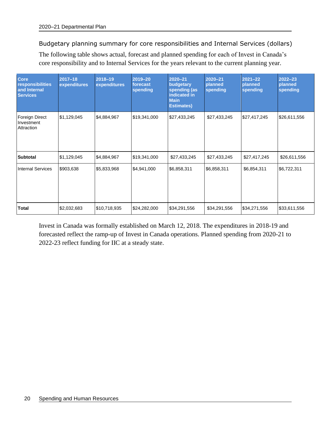Budgetary planning summary for core responsibilities and Internal Services (dollars)

The following table shows actual, forecast and planned spending for each of Invest in Canada's core responsibility and to Internal Services for the years relevant to the current planning year.

| <b>Core</b><br>responsibilities<br>and Internal<br><b>Services</b> | $2017 - 18$<br>expenditures | 2018-19<br>expenditures | 2019-20<br>forecast<br>spending | $2020 - 21$<br>budgetary<br>spending (as<br>indicated in<br><b>Main</b><br><b>Estimates)</b> | 2020-21<br>planned<br>spending | $2021 - 22$<br>planned<br>spending | $2022 - 23$<br>planned<br>spending |
|--------------------------------------------------------------------|-----------------------------|-------------------------|---------------------------------|----------------------------------------------------------------------------------------------|--------------------------------|------------------------------------|------------------------------------|
| Foreign Direct<br>Investment<br>Attraction                         | \$1,129,045                 | \$4,884,967             | \$19,341,000                    | \$27,433,245                                                                                 | \$27,433,245                   | \$27,417,245                       | \$26,611,556                       |
| <b>Subtotal</b>                                                    | \$1,129,045                 | \$4,884,967             | \$19,341,000                    | \$27,433,245                                                                                 | \$27,433,245                   | \$27,417,245                       | \$26,611,556                       |
| <b>Internal Services</b>                                           | \$903,638                   | \$5,833,968             | \$4,941,000                     | \$6,858,311                                                                                  | \$6,858,311                    | \$6,854,311                        | \$6,722,311                        |
| Total                                                              | \$2,032,683                 | \$10,718,935            | \$24,282,000                    | \$34,291,556                                                                                 | \$34,291,556                   | \$34,271,556                       | \$33,611,556                       |

Invest in Canada was formally established on March 12, 2018. The expenditures in 2018-19 and forecasted reflect the ramp-up of Invest in Canada operations. Planned spending from 2020-21 to 2022-23 reflect funding for IIC at a steady state.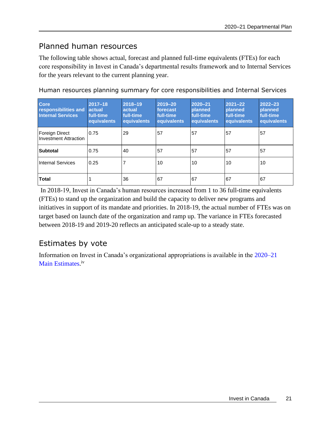### <span id="page-24-0"></span>Planned human resources

The following table shows actual, forecast and planned full-time equivalents (FTEs) for each core responsibility in Invest in Canada's departmental results framework and to Internal Services for the years relevant to the current planning year.

| <b>Core</b><br>responsibilities and<br><b>Internal Services</b> | $2017 - 18$<br>actual<br>full-time<br>equivalents | 2018-19<br>actual<br>full-time<br>equivalents | 2019-20<br>forecast<br>full-time<br>equivalents | 2020-21<br><b>planned</b><br>full-time<br>equivalents | $2021 - 22$<br><b>planned</b><br>full-time.<br>equivalents | $2022 - 23$<br>planned<br>full-time<br>equivalents |
|-----------------------------------------------------------------|---------------------------------------------------|-----------------------------------------------|-------------------------------------------------|-------------------------------------------------------|------------------------------------------------------------|----------------------------------------------------|
| Foreign Direct<br><b>Investment Attraction</b>                  | 0.75                                              | 29                                            | 57                                              | 57                                                    | 57                                                         | 57                                                 |
| <b>Subtotal</b>                                                 | 0.75                                              | 40                                            | 57                                              | 57                                                    | 57                                                         | 57                                                 |
| <b>Internal Services</b>                                        | 0.25                                              |                                               | 10                                              | 10                                                    | 10                                                         | 10                                                 |
| <b>Total</b>                                                    |                                                   | 36                                            | 67                                              | 67                                                    | 67                                                         | 67                                                 |

Human resources planning summary for core responsibilities and Internal Services

In 2018-19, Invest in Canada's human resources increased from 1 to 36 full-time equivalents (FTEs) to stand up the organization and build the capacity to deliver new programs and initiatives in support of its mandate and priorities. In 2018-19, the actual number of FTEs was on target based on launch date of the organization and ramp up. The variance in FTEs forecasted between 2018-19 and 2019-20 reflects an anticipated scale-up to a steady state.

### <span id="page-24-1"></span>Estimates by vote

Information on Invest in Canada's organizational appropriations is available in the [2020–21](http://www.tbs-sct.gc.ca/hgw-cgf/finances/pgs-pdg/gepme-pdgbpd/index-eng.asp)  [Main Estimates](http://www.tbs-sct.gc.ca/hgw-cgf/finances/pgs-pdg/gepme-pdgbpd/index-eng.asp)[.](http://www.tpsgc-pwgsc.gc.ca/recgen/cpc-pac/index-eng.html)<sup>iv</sup>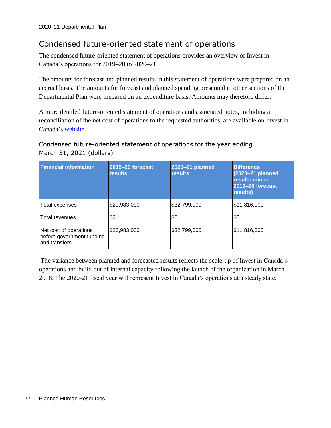### <span id="page-25-0"></span>Condensed future-oriented statement of operations

The condensed future-oriented statement of operations provides an overview of Invest in Canada's operations for 2019–20 to 2020–21.

The amounts for forecast and planned results in this statement of operations were prepared on an accrual basis. The amounts for forecast and planned spending presented in other sections of the Departmental Plan were prepared on an expenditure basis. Amounts may therefore differ.

A more detailed future-oriented statement of operations and associated notes, including a reconciliation of the net cost of operations to the requested authorities, are available on Invest in Canada's website.

### Condensed future-oriented statement of operations for the year ending March 31, 2021 (dollars)

| <b>Financial information</b>                                         | 2019-20 forecast<br><b>results</b> | 2020-21 planned<br><b>results</b> | <b>Difference</b><br>(2020-21 planned<br>results minus<br>2019-20 forecast<br>results) |
|----------------------------------------------------------------------|------------------------------------|-----------------------------------|----------------------------------------------------------------------------------------|
| Total expenses                                                       | \$20,983,000                       | \$32,799,000                      | \$11,816,000                                                                           |
| <b>Total revenues</b>                                                | \$0                                | \$0                               | \$0                                                                                    |
| Net cost of operations<br>before government funding<br>and transfers | \$20,983,000                       | \$32,799,000                      | \$11,816,000                                                                           |

The variance between planned and forecasted results reflects the scale-up of Invest in Canada's operations and build out of internal capacity following the launch of the organization in March 2018. The 2020-21 fiscal year will represent Invest in Canada's operations at a steady state.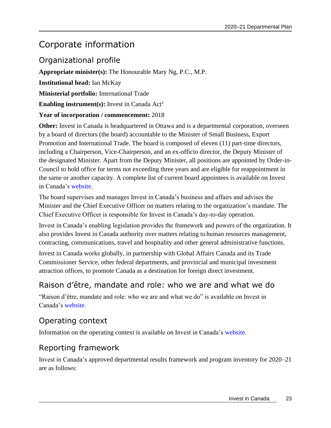### <span id="page-26-0"></span>Corporate information

### <span id="page-26-1"></span>Organizational profile

**Appropriate minister(s):** The Honourable Mary Ng, P.C., M.P.

**Institutional head:** Ian McKay

**Ministerial portfolio:** International Trade

**Enabling instrument(s):** Invest in Canada Act<sup>v</sup>

### **Year of incorporation / commencement:** 2018

**Other:** Invest in Canada is headquartered in Ottawa and is a departmental corporation, overseen by a board of directors (the board) accountable to the Minister of Small Business, Export Promotion and International Trade. The board is composed of eleven (11) part-time directors, including a Chairperson, Vice-Chairperson, and an ex-officio director, the Deputy Minister of the designated Minister. Apart from the Deputy Minister, all positions are appointed by Order-in-Council to hold office for terms not exceeding three years and are eligible for reappointment in the same or another capacity. A complete list of current board appointees is available on Invest in Canada's [website.](https://www.investcanada.ca/board-directors)

The board supervises and manages Invest in Canada's business and affairs and advises the Minister and the Chief Executive Officer on matters relating to the organization's mandate. The Chief Executive Officer is responsible for Invest in Canada's day-to-day operation.

Invest in Canada's enabling legislation provides the framework and powers of the organization. It also provides Invest in Canada authority over matters relating to human resources management, contracting, communications, travel and hospitality and other general administrative functions.

Invest in Canada works globally, in partnership with Global Affairs Canada and its Trade Commissioner Service, other federal departments, and provincial and municipal investment attraction offices, to promote Canada as a destination for foreign direct investment.

### <span id="page-26-2"></span>Raison d'être, mandate and role: who we are and what we do

"Raison d'être, mandate and role: who we are and what we do" is available on Invest in Canada's [website.](https://www.investcanada.ca/2018-19-departmental-plan/raison-detre)

### <span id="page-26-3"></span>Operating context

Information on the operating context is available on Invest in Canada's [website.](http://www.investcanada.ca/)

### <span id="page-26-4"></span>Reporting framework

Invest in Canada's approved departmental results framework and program inventory for 2020–21 are as follows: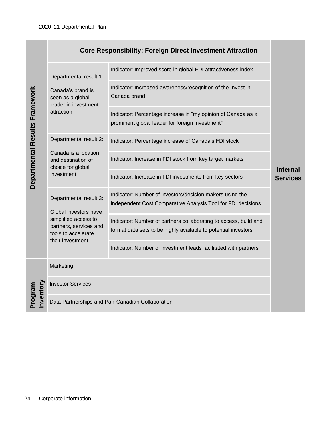|                                |                                                                                           | <b>Core Responsibility: Foreign Direct Investment Attraction</b>                                                                   |                                    |
|--------------------------------|-------------------------------------------------------------------------------------------|------------------------------------------------------------------------------------------------------------------------------------|------------------------------------|
|                                | Departmental result 1:                                                                    | Indicator: Improved score in global FDI attractiveness index                                                                       |                                    |
|                                | Canada's brand is<br>seen as a global<br>leader in investment                             | Indicator: Increased awareness/recognition of the Invest in<br>Canada brand                                                        |                                    |
| Departmental Results Framework | attraction                                                                                | Indicator: Percentage increase in "my opinion of Canada as a<br>prominent global leader for foreign investment"                    |                                    |
|                                | Departmental result 2:                                                                    | Indicator: Percentage increase of Canada's FDI stock                                                                               |                                    |
|                                | Canada is a location<br>and destination of<br>choice for global                           | Indicator: Increase in FDI stock from key target markets                                                                           |                                    |
|                                | investment                                                                                | Indicator: Increase in FDI investments from key sectors                                                                            | <b>Internal</b><br><b>Services</b> |
|                                | Departmental result 3:<br>Global investors have                                           | Indicator: Number of investors/decision makers using the<br>independent Cost Comparative Analysis Tool for FDI decisions           |                                    |
|                                | simplified access to<br>partners, services and<br>tools to accelerate<br>their investment | Indicator: Number of partners collaborating to access, build and<br>format data sets to be highly available to potential investors |                                    |
|                                |                                                                                           | Indicator: Number of investment leads facilitated with partners                                                                    |                                    |
|                                | Marketing                                                                                 |                                                                                                                                    |                                    |
|                                | <b>Investor Services</b>                                                                  |                                                                                                                                    |                                    |
| Program<br>nvento              |                                                                                           | Data Partnerships and Pan-Canadian Collaboration                                                                                   |                                    |
|                                |                                                                                           |                                                                                                                                    |                                    |
|                                |                                                                                           |                                                                                                                                    |                                    |
|                                |                                                                                           |                                                                                                                                    |                                    |
|                                |                                                                                           |                                                                                                                                    |                                    |
| 24                             | Corporate information                                                                     |                                                                                                                                    |                                    |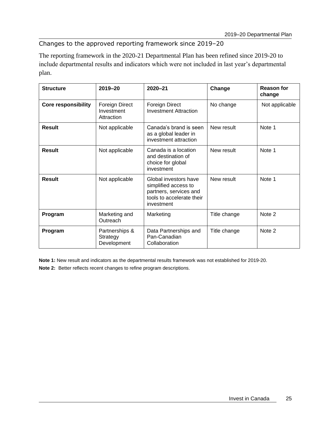### Changes to the approved reporting framework since 2019–20

The reporting framework in the 2020-21 Departmental Plan has been refined since 2019-20 to include departmental results and indicators which were not included in last year's departmental plan.

| <b>Structure</b>           | $2019 - 20$                                | $2020 - 21$                                                                                                        | Change       | <b>Reason for</b><br>change |
|----------------------------|--------------------------------------------|--------------------------------------------------------------------------------------------------------------------|--------------|-----------------------------|
| <b>Core responsibility</b> | Foreign Direct<br>Investment<br>Attraction | <b>Foreign Direct</b><br><b>Investment Attraction</b>                                                              | No change    | Not applicable              |
| <b>Result</b>              | Not applicable                             | Canada's brand is seen<br>as a global leader in<br>investment attraction                                           | New result   | Note 1                      |
| <b>Result</b>              | Not applicable                             | Canada is a location<br>and destination of<br>choice for global<br>investment                                      | New result   | Note 1                      |
| Result                     | Not applicable                             | Global investors have<br>simplified access to<br>partners, services and<br>tools to accelerate their<br>investment | New result   | Note 1                      |
| Program                    | Marketing and<br>Outreach                  | Marketing                                                                                                          | Title change | Note 2                      |
| Program                    | Partnerships &<br>Strategy<br>Development  | Data Partnerships and<br>Pan-Canadian<br>Collaboration                                                             | Title change | Note 2                      |

**Note 1:** New result and indicators as the departmental results framework was not established for 2019-20.

**Note 2:** Better reflects recent changes to refine program descriptions.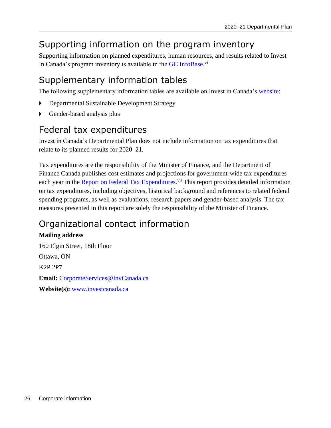## <span id="page-29-0"></span>Supporting information on the program inventory

Supporting information on planned expenditures, human resources, and results related to Invest In Canada's program inventory is available in the GC [InfoBase.](https://www.tbs-sct.gc.ca/ems-sgd/edb-bdd/index-eng.html)<sup>vi</sup>

## <span id="page-29-1"></span>Supplementary information tables

The following supplementary information tables are available on Invest in Canada's [website:](https://www.investcanada.ca/2018-19-departmental-plan/supplimentary-tables)

- Departmental Sustainable Development Strategy
- Gender-based analysis plus

## <span id="page-29-2"></span>Federal tax expenditures

Invest in Canada's Departmental Plan does not include information on tax expenditures that relate to its planned results for 2020–21.

Tax expenditures are the responsibility of the Minister of Finance, and the Department of Finance Canada publishes cost estimates and projections for government-wide tax expenditures each year in the [Report on Federal Tax Expenditures.](http://www.fin.gc.ca/purl/taxexp-eng.asp)<sup>vii</sup> This report provides detailed information on tax expenditures, including objectives, historical background and references to related federal spending programs, as well as evaluations, research papers and gender-based analysis. The tax measures presented in this report are solely the responsibility of the Minister of Finance.

## <span id="page-29-3"></span>Organizational contact information

**Mailing address** 160 Elgin Street, 18th Floor Ottawa, ON K2P 2P7 **Email:** [CorporateServices@InvCanada.ca](mailto:CorporateServices@InvCanada.ca) **Website(s):** [www.investcanada.ca](http://www.investcanada.ca/)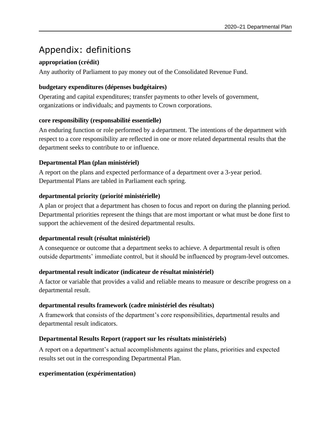## <span id="page-30-0"></span>Appendix: definitions

### **appropriation (crédit)**

Any authority of Parliament to pay money out of the Consolidated Revenue Fund.

### **budgetary expenditures (dépenses budgétaires)**

Operating and capital expenditures; transfer payments to other levels of government, organizations or individuals; and payments to Crown corporations.

### **core responsibility (responsabilité essentielle)**

An enduring function or role performed by a department. The intentions of the department with respect to a core responsibility are reflected in one or more related departmental results that the department seeks to contribute to or influence.

### **Departmental Plan (plan ministériel)**

A report on the plans and expected performance of a department over a 3-year period. Departmental Plans are tabled in Parliament each spring.

### **departmental priority (priorité ministérielle)**

A plan or project that a department has chosen to focus and report on during the planning period. Departmental priorities represent the things that are most important or what must be done first to support the achievement of the desired departmental results.

### **departmental result (résultat ministériel)**

A consequence or outcome that a department seeks to achieve. A departmental result is often outside departments' immediate control, but it should be influenced by program-level outcomes.

### **departmental result indicator (indicateur de résultat ministériel)**

A factor or variable that provides a valid and reliable means to measure or describe progress on a departmental result.

### **departmental results framework (cadre ministériel des résultats)**

A framework that consists of the department's core responsibilities, departmental results and departmental result indicators.

### **Departmental Results Report (rapport sur les résultats ministériels)**

A report on a department's actual accomplishments against the plans, priorities and expected results set out in the corresponding Departmental Plan.

### **experimentation (expérimentation)**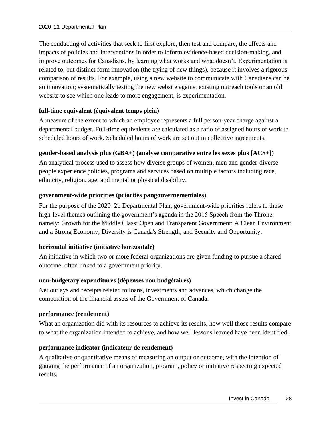The conducting of activities that seek to first explore, then test and compare, the effects and impacts of policies and interventions in order to inform evidence-based decision-making, and improve outcomes for Canadians, by learning what works and what doesn't. Experimentation is related to, but distinct form innovation (the trying of new things), because it involves a rigorous comparison of results. For example, using a new website to communicate with Canadians can be an innovation; systematically testing the new website against existing outreach tools or an old website to see which one leads to more engagement, is experimentation.

#### **full-time equivalent (équivalent temps plein)**

A measure of the extent to which an employee represents a full person-year charge against a departmental budget. Full-time equivalents are calculated as a ratio of assigned hours of work to scheduled hours of work. Scheduled hours of work are set out in collective agreements.

### **gender-based analysis plus (GBA+) (analyse comparative entre les sexes plus [ACS+])**

An analytical process used to assess how diverse groups of women, men and gender-diverse people experience policies, programs and services based on multiple factors including race, ethnicity, religion, age, and mental or physical disability.

#### **government-wide priorities (priorités pangouvernementales)**

For the purpose of the 2020–21 Departmental Plan, government-wide priorities refers to those high-level themes outlining the government's agenda in the 2015 Speech from the Throne, namely: Growth for the Middle Class; Open and Transparent Government; A Clean Environment and a Strong Economy; Diversity is Canada's Strength; and Security and Opportunity.

### **horizontal initiative (initiative horizontale)**

An initiative in which two or more federal organizations are given funding to pursue a shared outcome, often linked to a government priority.

#### **non-budgetary expenditures (dépenses non budgétaires)**

Net outlays and receipts related to loans, investments and advances, which change the composition of the financial assets of the Government of Canada.

#### **performance (rendement)**

What an organization did with its resources to achieve its results, how well those results compare to what the organization intended to achieve, and how well lessons learned have been identified.

### **performance indicator (indicateur de rendement)**

A qualitative or quantitative means of measuring an output or outcome, with the intention of gauging the performance of an organization, program, policy or initiative respecting expected results.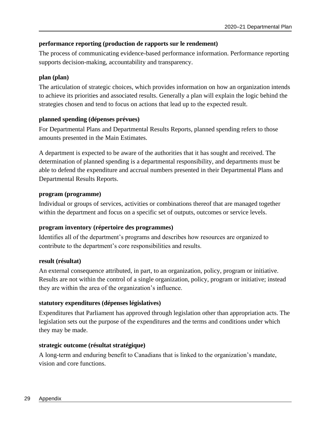### **performance reporting (production de rapports sur le rendement)**

The process of communicating evidence-based performance information. Performance reporting supports decision-making, accountability and transparency.

### **plan (plan)**

The articulation of strategic choices, which provides information on how an organization intends to achieve its priorities and associated results. Generally a plan will explain the logic behind the strategies chosen and tend to focus on actions that lead up to the expected result.

### **planned spending (dépenses prévues)**

For Departmental Plans and Departmental Results Reports, planned spending refers to those amounts presented in the Main Estimates.

A department is expected to be aware of the authorities that it has sought and received. The determination of planned spending is a departmental responsibility, and departments must be able to defend the expenditure and accrual numbers presented in their Departmental Plans and Departmental Results Reports.

### **program (programme)**

Individual or groups of services, activities or combinations thereof that are managed together within the department and focus on a specific set of outputs, outcomes or service levels.

### **program inventory (répertoire des programmes)**

Identifies all of the department's programs and describes how resources are organized to contribute to the department's core responsibilities and results.

### **result (résultat)**

An external consequence attributed, in part, to an organization, policy, program or initiative. Results are not within the control of a single organization, policy, program or initiative; instead they are within the area of the organization's influence.

### **statutory expenditures (dépenses législatives)**

Expenditures that Parliament has approved through legislation other than appropriation acts. The legislation sets out the purpose of the expenditures and the terms and conditions under which they may be made.

### **strategic outcome (résultat stratégique)**

A long-term and enduring benefit to Canadians that is linked to the organization's mandate, vision and core functions.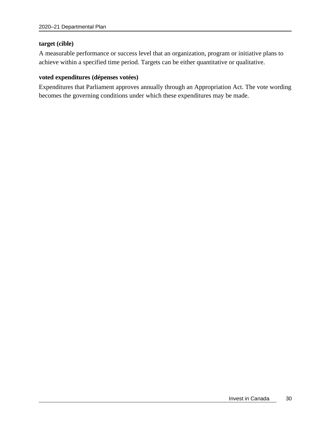#### **target (cible)**

A measurable performance or success level that an organization, program or initiative plans to achieve within a specified time period. Targets can be either quantitative or qualitative.

#### **voted expenditures (dépenses votées)**

Expenditures that Parliament approves annually through an Appropriation Act. The vote wording becomes the governing conditions under which these expenditures may be made.